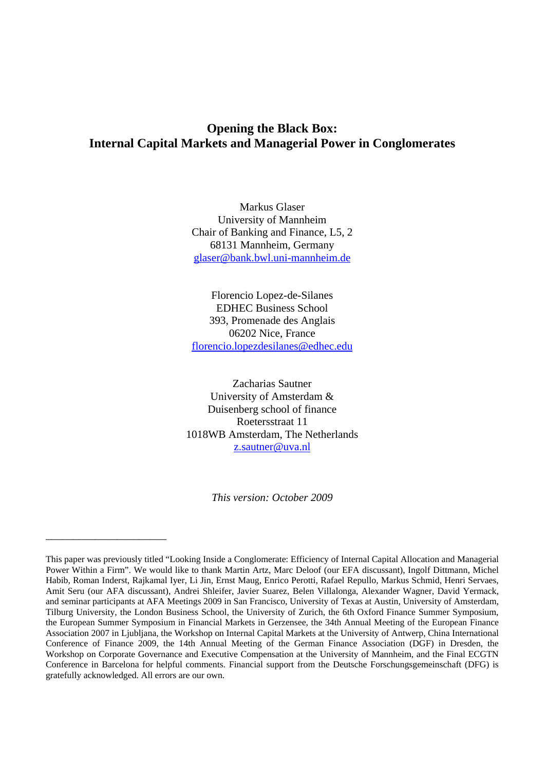# **Opening the Black Box: Internal Capital Markets and Managerial Power in Conglomerates**

Markus Glaser University of Mannheim Chair of Banking and Finance, L5, 2 68131 Mannheim, Germany [glaser@bank.bwl.uni-mannheim.de](mailto:glaser@bank.bwl.uni-mannheim.de)

Florencio Lopez-de-Silanes EDHEC Business School 393, Promenade des Anglais 06202 Nice, France [florencio.lopezdesilanes@edhec.edu](mailto:florencio.lopezdesilanes@edhec.edu)

Zacharias Sautner University of Amsterdam & Duisenberg school of finance Roetersstraat 11 1018WB Amsterdam, The Netherlands [z.sautner@uva.nl](mailto:z.sautner@uva.nl)

*This version: October 2009* 

\_\_\_\_\_\_\_\_\_\_\_\_\_\_\_\_\_\_\_\_\_\_

This paper was previously titled "Looking Inside a Conglomerate: Efficiency of Internal Capital Allocation and Managerial Power Within a Firm". We would like to thank Martin Artz, Marc Deloof (our EFA discussant), Ingolf Dittmann, Michel Habib, Roman Inderst, Rajkamal Iyer, Li Jin, Ernst Maug, Enrico Perotti, Rafael Repullo, Markus Schmid, Henri Servaes, Amit Seru (our AFA discussant), Andrei Shleifer, Javier Suarez, Belen Villalonga, Alexander Wagner, David Yermack, and seminar participants at AFA Meetings 2009 in San Francisco, University of Texas at Austin, University of Amsterdam, Tilburg University, the London Business School, the University of Zurich, the 6th Oxford Finance Summer Symposium, the European Summer Symposium in Financial Markets in Gerzensee, the 34th Annual Meeting of the European Finance Association 2007 in Ljubljana, the Workshop on Internal Capital Markets at the University of Antwerp, China International Conference of Finance 2009, the 14th Annual Meeting of the German Finance Association (DGF) in Dresden, the Workshop on Corporate Governance and Executive Compensation at the University of Mannheim, and the Final ECGTN Conference in Barcelona for helpful comments. Financial support from the Deutsche Forschungsgemeinschaft (DFG) is gratefully acknowledged. All errors are our own.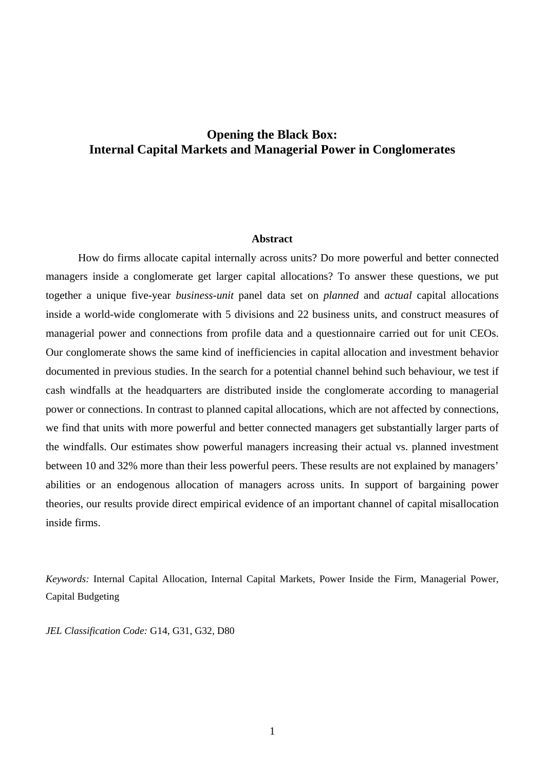# **Opening the Black Box: Internal Capital Markets and Managerial Power in Conglomerates**

## **Abstract**

How do firms allocate capital internally across units? Do more powerful and better connected managers inside a conglomerate get larger capital allocations? To answer these questions, we put together a unique five-year *business-unit* panel data set on *planned* and *actual* capital allocations inside a world-wide conglomerate with 5 divisions and 22 business units, and construct measures of managerial power and connections from profile data and a questionnaire carried out for unit CEOs. Our conglomerate shows the same kind of inefficiencies in capital allocation and investment behavior documented in previous studies. In the search for a potential channel behind such behaviour, we test if cash windfalls at the headquarters are distributed inside the conglomerate according to managerial power or connections. In contrast to planned capital allocations, which are not affected by connections, we find that units with more powerful and better connected managers get substantially larger parts of the windfalls. Our estimates show powerful managers increasing their actual vs. planned investment between 10 and 32% more than their less powerful peers. These results are not explained by managers' abilities or an endogenous allocation of managers across units. In support of bargaining power theories, our results provide direct empirical evidence of an important channel of capital misallocation inside firms.

*Keywords:* Internal Capital Allocation, Internal Capital Markets, Power Inside the Firm, Managerial Power, Capital Budgeting

*JEL Classification Code:* G14, G31, G32, D80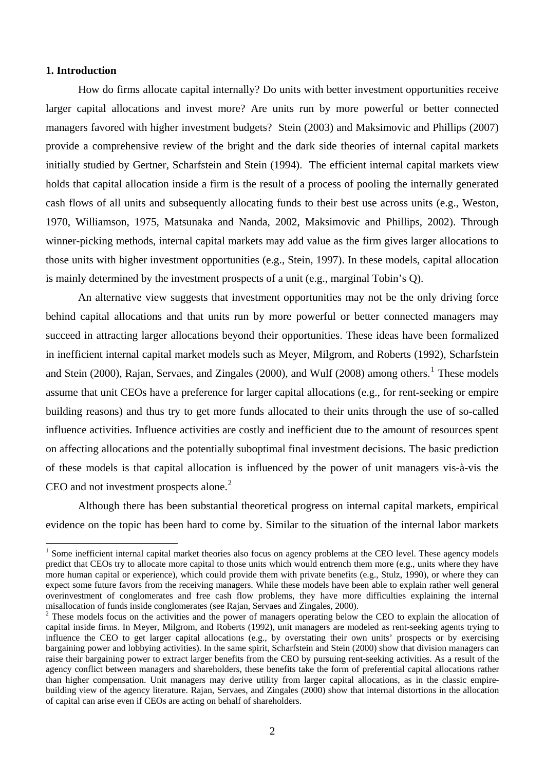# **1. Introduction**

 $\overline{a}$ 

How do firms allocate capital internally? Do units with better investment opportunities receive larger capital allocations and invest more? Are units run by more powerful or better connected managers favored with higher investment budgets? Stein (2003) and Maksimovic and Phillips (2007) provide a comprehensive review of the bright and the dark side theories of internal capital markets initially studied by Gertner, Scharfstein and Stein (1994). The efficient internal capital markets view holds that capital allocation inside a firm is the result of a process of pooling the internally generated cash flows of all units and subsequently allocating funds to their best use across units (e.g., Weston, 1970, Williamson, 1975, Matsunaka and Nanda, 2002, Maksimovic and Phillips, 2002). Through winner-picking methods, internal capital markets may add value as the firm gives larger allocations to those units with higher investment opportunities (e.g., Stein, 1997). In these models, capital allocation is mainly determined by the investment prospects of a unit (e.g., marginal Tobin's Q).

An alternative view suggests that investment opportunities may not be the only driving force behind capital allocations and that units run by more powerful or better connected managers may succeed in attracting larger allocations beyond their opportunities. These ideas have been formalized in inefficient internal capital market models such as Meyer, Milgrom, and Roberts (1992), Scharfstein and Stein (2000), Rajan, Servaes, and Zingales (2000), and Wulf (2008) among others.<sup>[1](#page-2-0)</sup> These models assume that unit CEOs have a preference for larger capital allocations (e.g., for rent-seeking or empire building reasons) and thus try to get more funds allocated to their units through the use of so-called influence activities. Influence activities are costly and inefficient due to the amount of resources spent on affecting allocations and the potentially suboptimal final investment decisions. The basic prediction of these models is that capital allocation is influenced by the power of unit managers vis-à-vis the CEO and not investment prospects alone. $2$ 

Although there has been substantial theoretical progress on internal capital markets, empirical evidence on the topic has been hard to come by. Similar to the situation of the internal labor markets

<span id="page-2-0"></span> $<sup>1</sup>$  Some inefficient internal capital market theories also focus on agency problems at the CEO level. These agency models</sup> predict that CEOs try to allocate more capital to those units which would entrench them more (e.g., units where they have more human capital or experience), which could provide them with private benefits (e.g., Stulz, 1990), or where they can expect some future favors from the receiving managers. While these models have been able to explain rather well general overinvestment of conglomerates and free cash flow problems, they have more difficulties explaining the internal misallocation of funds inside conglomerates (see Rajan, Servaes and Zingales, 2000).

<span id="page-2-1"></span> $2$  These models focus on the activities and the power of managers operating below the CEO to explain the allocation of capital inside firms. In Meyer, Milgrom, and Roberts (1992), unit managers are modeled as rent-seeking agents trying to influence the CEO to get larger capital allocations (e.g., by overstating their own units' prospects or by exercising bargaining power and lobbying activities). In the same spirit, Scharfstein and Stein (2000) show that division managers can raise their bargaining power to extract larger benefits from the CEO by pursuing rent-seeking activities. As a result of the agency conflict between managers and shareholders, these benefits take the form of preferential capital allocations rather than higher compensation. Unit managers may derive utility from larger capital allocations, as in the classic empirebuilding view of the agency literature. Rajan, Servaes, and Zingales (2000) show that internal distortions in the allocation of capital can arise even if CEOs are acting on behalf of shareholders.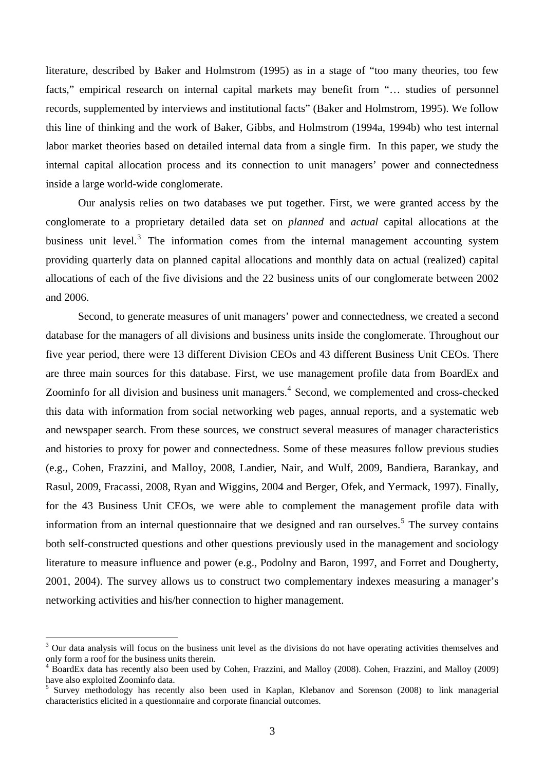literature, described by Baker and Holmstrom (1995) as in a stage of "too many theories, too few facts," empirical research on internal capital markets may benefit from "... studies of personnel records, supplemented by interviews and institutional facts" (Baker and Holmstrom, 1995). We follow this line of thinking and the work of Baker, Gibbs, and Holmstrom (1994a, 1994b) who test internal labor market theories based on detailed internal data from a single firm. In this paper, we study the internal capital allocation process and its connection to unit managers' power and connectedness inside a large world-wide conglomerate.

Our analysis relies on two databases we put together. First, we were granted access by the conglomerate to a proprietary detailed data set on *planned* and *actual* capital allocations at the business unit level.<sup>[3](#page-3-0)</sup> The information comes from the internal management accounting system providing quarterly data on planned capital allocations and monthly data on actual (realized) capital allocations of each of the five divisions and the 22 business units of our conglomerate between 2002 and 2006.

Second, to generate measures of unit managers' power and connectedness, we created a second database for the managers of all divisions and business units inside the conglomerate. Throughout our five year period, there were 13 different Division CEOs and 43 different Business Unit CEOs. There are three main sources for this database. First, we use management profile data from BoardEx and Zoominfo for all division and business unit managers.<sup>[4](#page-3-1)</sup> Second, we complemented and cross-checked this data with information from social networking web pages, annual reports, and a systematic web and newspaper search. From these sources, we construct several measures of manager characteristics and histories to proxy for power and connectedness. Some of these measures follow previous studies (e.g., Cohen, Frazzini, and Malloy, 2008, Landier, Nair, and Wulf, 2009, Bandiera, Barankay, and Rasul, 2009, Fracassi, 2008, Ryan and Wiggins, 2004 and Berger, Ofek, and Yermack, 1997). Finally, for the 43 Business Unit CEOs, we were able to complement the management profile data with information from an internal questionnaire that we designed and ran ourselves.<sup>[5](#page-3-2)</sup> The survey contains both self-constructed questions and other questions previously used in the management and sociology literature to measure influence and power (e.g., Podolny and Baron, 1997, and Forret and Dougherty, 2001, 2004). The survey allows us to construct two complementary indexes measuring a manager's networking activities and his/her connection to higher management.

<span id="page-3-0"></span><sup>3</sup> Our data analysis will focus on the business unit level as the divisions do not have operating activities themselves and only form a roof for the business units therein.

<span id="page-3-1"></span><sup>4</sup> BoardEx data has recently also been used by Cohen, Frazzini, and Malloy (2008). Cohen, Frazzini, and Malloy (2009) have also exploited Zoominfo data.

<span id="page-3-2"></span><sup>5</sup> Survey methodology has recently also been used in Kaplan, Klebanov and Sorenson (2008) to link managerial characteristics elicited in a questionnaire and corporate financial outcomes.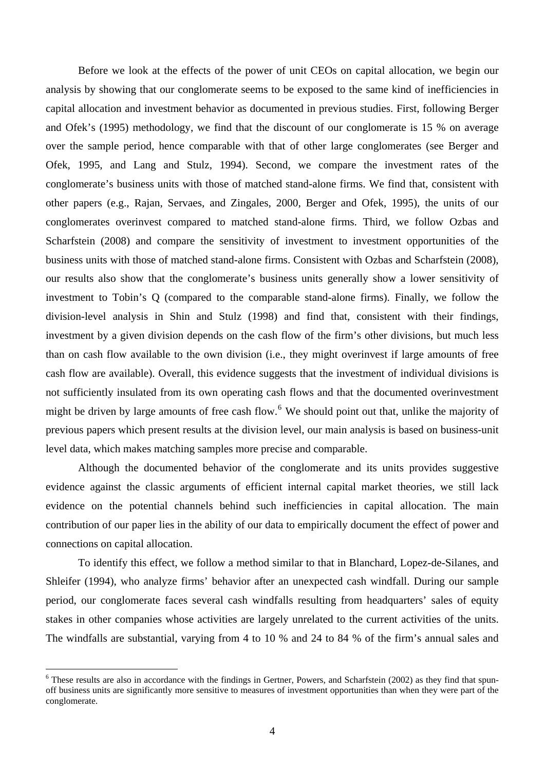Before we look at the effects of the power of unit CEOs on capital allocation, we begin our analysis by showing that our conglomerate seems to be exposed to the same kind of inefficiencies in capital allocation and investment behavior as documented in previous studies. First, following Berger and Ofek's (1995) methodology, we find that the discount of our conglomerate is 15 % on average over the sample period, hence comparable with that of other large conglomerates (see Berger and Ofek, 1995, and Lang and Stulz, 1994). Second, we compare the investment rates of the conglomerate's business units with those of matched stand-alone firms. We find that, consistent with other papers (e.g., Rajan, Servaes, and Zingales, 2000, Berger and Ofek, 1995), the units of our conglomerates overinvest compared to matched stand-alone firms. Third, we follow Ozbas and Scharfstein (2008) and compare the sensitivity of investment to investment opportunities of the business units with those of matched stand-alone firms. Consistent with Ozbas and Scharfstein (2008), our results also show that the conglomerate's business units generally show a lower sensitivity of investment to Tobin's Q (compared to the comparable stand-alone firms). Finally, we follow the division-level analysis in Shin and Stulz (1998) and find that, consistent with their findings, investment by a given division depends on the cash flow of the firm's other divisions, but much less than on cash flow available to the own division (i.e., they might overinvest if large amounts of free cash flow are available). Overall, this evidence suggests that the investment of individual divisions is not sufficiently insulated from its own operating cash flows and that the documented overinvestment might be driven by large amounts of free cash flow. <sup>[6](#page-4-0)</sup> We should point out that, unlike the majority of previous papers which present results at the division level, our main analysis is based on business-unit level data, which makes matching samples more precise and comparable.

Although the documented behavior of the conglomerate and its units provides suggestive evidence against the classic arguments of efficient internal capital market theories, we still lack evidence on the potential channels behind such inefficiencies in capital allocation. The main contribution of our paper lies in the ability of our data to empirically document the effect of power and connections on capital allocation.

To identify this effect, we follow a method similar to that in Blanchard, Lopez-de-Silanes, and Shleifer (1994), who analyze firms' behavior after an unexpected cash windfall. During our sample period, our conglomerate faces several cash windfalls resulting from headquarters' sales of equity stakes in other companies whose activities are largely unrelated to the current activities of the units. The windfalls are substantial, varying from 4 to 10 % and 24 to 84 % of the firm's annual sales and

<span id="page-4-0"></span><sup>&</sup>lt;sup>6</sup> These results are also in accordance with the findings in Gertner, Powers, and Scharfstein (2002) as they find that spunoff business units are significantly more sensitive to measures of investment opportunities than when they were part of the conglomerate.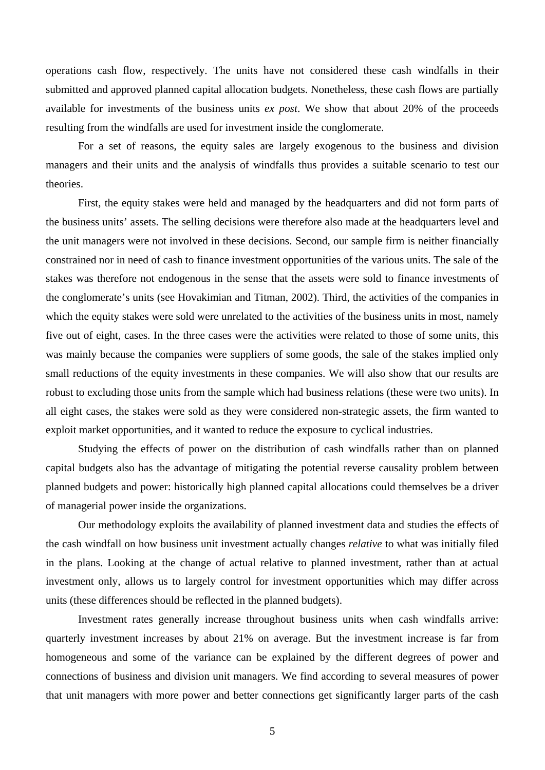operations cash flow, respectively. The units have not considered these cash windfalls in their submitted and approved planned capital allocation budgets. Nonetheless, these cash flows are partially available for investments of the business units *ex post*. We show that about 20% of the proceeds resulting from the windfalls are used for investment inside the conglomerate.

For a set of reasons, the equity sales are largely exogenous to the business and division managers and their units and the analysis of windfalls thus provides a suitable scenario to test our theories.

First, the equity stakes were held and managed by the headquarters and did not form parts of the business units' assets. The selling decisions were therefore also made at the headquarters level and the unit managers were not involved in these decisions. Second, our sample firm is neither financially constrained nor in need of cash to finance investment opportunities of the various units. The sale of the stakes was therefore not endogenous in the sense that the assets were sold to finance investments of the conglomerate's units (see Hovakimian and Titman, 2002). Third, the activities of the companies in which the equity stakes were sold were unrelated to the activities of the business units in most, namely five out of eight, cases. In the three cases were the activities were related to those of some units, this was mainly because the companies were suppliers of some goods, the sale of the stakes implied only small reductions of the equity investments in these companies. We will also show that our results are robust to excluding those units from the sample which had business relations (these were two units). In all eight cases, the stakes were sold as they were considered non-strategic assets, the firm wanted to exploit market opportunities, and it wanted to reduce the exposure to cyclical industries.

Studying the effects of power on the distribution of cash windfalls rather than on planned capital budgets also has the advantage of mitigating the potential reverse causality problem between planned budgets and power: historically high planned capital allocations could themselves be a driver of managerial power inside the organizations.

Our methodology exploits the availability of planned investment data and studies the effects of the cash windfall on how business unit investment actually changes *relative* to what was initially filed in the plans. Looking at the change of actual relative to planned investment, rather than at actual investment only, allows us to largely control for investment opportunities which may differ across units (these differences should be reflected in the planned budgets).

Investment rates generally increase throughout business units when cash windfalls arrive: quarterly investment increases by about 21% on average. But the investment increase is far from homogeneous and some of the variance can be explained by the different degrees of power and connections of business and division unit managers. We find according to several measures of power that unit managers with more power and better connections get significantly larger parts of the cash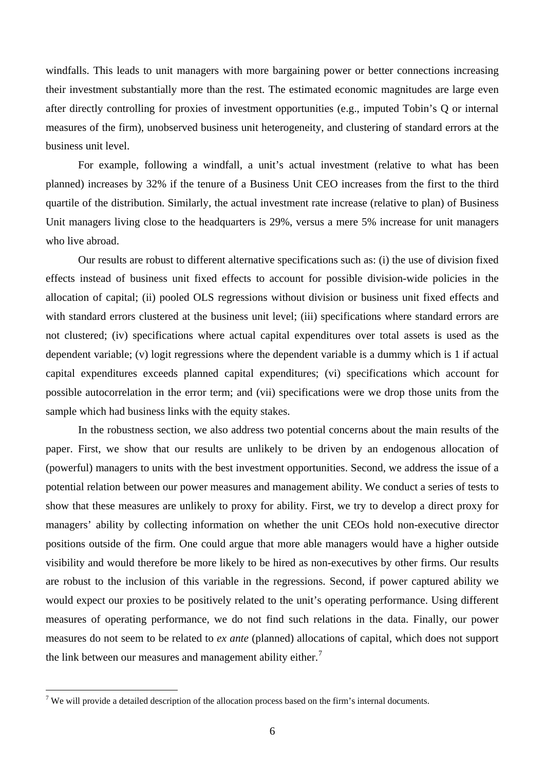windfalls. This leads to unit managers with more bargaining power or better connections increasing their investment substantially more than the rest. The estimated economic magnitudes are large even after directly controlling for proxies of investment opportunities (e.g., imputed Tobin's Q or internal measures of the firm), unobserved business unit heterogeneity, and clustering of standard errors at the business unit level.

For example, following a windfall, a unit's actual investment (relative to what has been planned) increases by 32% if the tenure of a Business Unit CEO increases from the first to the third quartile of the distribution. Similarly, the actual investment rate increase (relative to plan) of Business Unit managers living close to the headquarters is 29%, versus a mere 5% increase for unit managers who live abroad.

Our results are robust to different alternative specifications such as: (i) the use of division fixed effects instead of business unit fixed effects to account for possible division-wide policies in the allocation of capital; (ii) pooled OLS regressions without division or business unit fixed effects and with standard errors clustered at the business unit level; (iii) specifications where standard errors are not clustered; (iv) specifications where actual capital expenditures over total assets is used as the dependent variable; (v) logit regressions where the dependent variable is a dummy which is 1 if actual capital expenditures exceeds planned capital expenditures; (vi) specifications which account for possible autocorrelation in the error term; and (vii) specifications were we drop those units from the sample which had business links with the equity stakes.

In the robustness section, we also address two potential concerns about the main results of the paper. First, we show that our results are unlikely to be driven by an endogenous allocation of (powerful) managers to units with the best investment opportunities. Second, we address the issue of a potential relation between our power measures and management ability. We conduct a series of tests to show that these measures are unlikely to proxy for ability. First, we try to develop a direct proxy for managers' ability by collecting information on whether the unit CEOs hold non-executive director positions outside of the firm. One could argue that more able managers would have a higher outside visibility and would therefore be more likely to be hired as non-executives by other firms. Our results are robust to the inclusion of this variable in the regressions. Second, if power captured ability we would expect our proxies to be positively related to the unit's operating performance. Using different measures of operating performance, we do not find such relations in the data. Finally, our power measures do not seem to be related to *ex ante* (planned) allocations of capital, which does not support the link between our measures and management ability either.<sup>[7](#page-6-0)</sup>

<span id="page-6-0"></span><sup>&</sup>lt;sup>7</sup> We will provide a detailed description of the allocation process based on the firm's internal documents.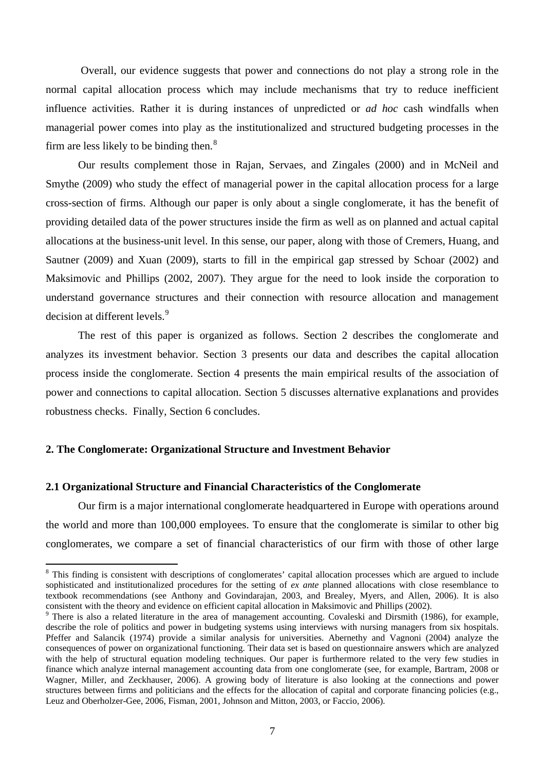Overall, our evidence suggests that power and connections do not play a strong role in the normal capital allocation process which may include mechanisms that try to reduce inefficient influence activities. Rather it is during instances of unpredicted or *ad hoc* cash windfalls when managerial power comes into play as the institutionalized and structured budgeting processes in the firm are less likely to be binding then. $8$ 

Our results complement those in Rajan, Servaes, and Zingales (2000) and in McNeil and Smythe (2009) who study the effect of managerial power in the capital allocation process for a large cross-section of firms. Although our paper is only about a single conglomerate, it has the benefit of providing detailed data of the power structures inside the firm as well as on planned and actual capital allocations at the business-unit level. In this sense, our paper, along with those of Cremers, Huang, and Sautner (2009) and Xuan (2009), starts to fill in the empirical gap stressed by Schoar (2002) and Maksimovic and Phillips (2002, 2007). They argue for the need to look inside the corporation to understand governance structures and their connection with resource allocation and management decision at different levels.<sup>[9](#page-7-1)</sup>

The rest of this paper is organized as follows. Section 2 describes the conglomerate and analyzes its investment behavior. Section 3 presents our data and describes the capital allocation process inside the conglomerate. Section 4 presents the main empirical results of the association of power and connections to capital allocation. Section 5 discusses alternative explanations and provides robustness checks. Finally, Section 6 concludes.

## **2. The Conglomerate: Organizational Structure and Investment Behavior**

 $\overline{a}$ 

# **2.1 Organizational Structure and Financial Characteristics of the Conglomerate**

Our firm is a major international conglomerate headquartered in Europe with operations around the world and more than 100,000 employees. To ensure that the conglomerate is similar to other big conglomerates, we compare a set of financial characteristics of our firm with those of other large

<span id="page-7-0"></span><sup>&</sup>lt;sup>8</sup> This finding is consistent with descriptions of conglomerates' capital allocation processes which are argued to include sophisticated and institutionalized procedures for the setting of *ex ante* planned allocations with close resemblance to textbook recommendations (see Anthony and Govindarajan, 2003, and Brealey, Myers, and Allen, 2006). It is also consistent with the theory and evidence on efficient capital allocation in Maksimovic and Phillips (2002).

<span id="page-7-1"></span><sup>&</sup>lt;sup>9</sup> There is also a related literature in the area of management accounting. Covaleski and Dirsmith (1986), for example, describe the role of politics and power in budgeting systems using interviews with nursing managers from six hospitals. Pfeffer and Salancik (1974) provide a similar analysis for universities. Abernethy and Vagnoni (2004) analyze the consequences of power on organizational functioning. Their data set is based on questionnaire answers which are analyzed with the help of structural equation modeling techniques. Our paper is furthermore related to the very few studies in finance which analyze internal management accounting data from one conglomerate (see, for example, Bartram, 2008 or Wagner, Miller, and Zeckhauser, 2006). A growing body of literature is also looking at the connections and power structures between firms and politicians and the effects for the allocation of capital and corporate financing policies (e.g., Leuz and Oberholzer-Gee, 2006, Fisman, 2001, Johnson and Mitton, 2003, or Faccio, 2006).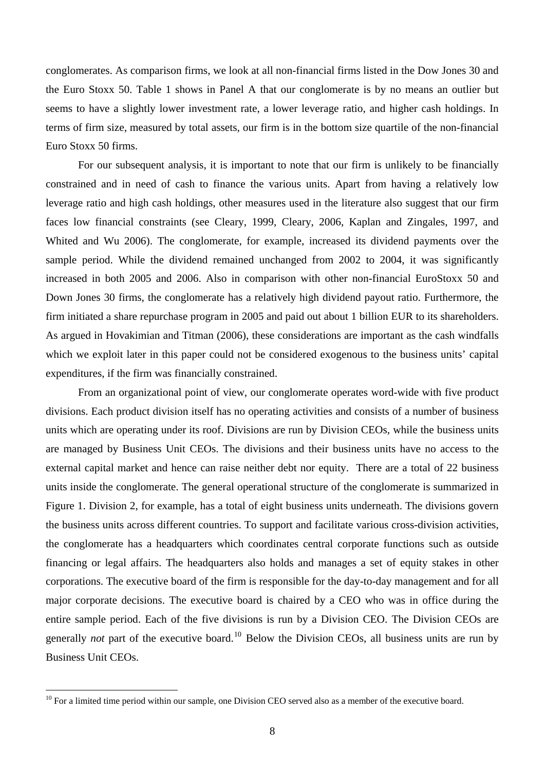conglomerates. As comparison firms, we look at all non-financial firms listed in the Dow Jones 30 and the Euro Stoxx 50. Table 1 shows in Panel A that our conglomerate is by no means an outlier but seems to have a slightly lower investment rate, a lower leverage ratio, and higher cash holdings. In terms of firm size, measured by total assets, our firm is in the bottom size quartile of the non-financial Euro Stoxx 50 firms.

For our subsequent analysis, it is important to note that our firm is unlikely to be financially constrained and in need of cash to finance the various units. Apart from having a relatively low leverage ratio and high cash holdings, other measures used in the literature also suggest that our firm faces low financial constraints (see Cleary, 1999, Cleary, 2006, Kaplan and Zingales, 1997, and Whited and Wu 2006). The conglomerate, for example, increased its dividend payments over the sample period. While the dividend remained unchanged from 2002 to 2004, it was significantly increased in both 2005 and 2006. Also in comparison with other non-financial EuroStoxx 50 and Down Jones 30 firms, the conglomerate has a relatively high dividend payout ratio. Furthermore, the firm initiated a share repurchase program in 2005 and paid out about 1 billion EUR to its shareholders. As argued in Hovakimian and Titman (2006), these considerations are important as the cash windfalls which we exploit later in this paper could not be considered exogenous to the business units' capital expenditures, if the firm was financially constrained.

From an organizational point of view, our conglomerate operates word-wide with five product divisions. Each product division itself has no operating activities and consists of a number of business units which are operating under its roof. Divisions are run by Division CEOs, while the business units are managed by Business Unit CEOs. The divisions and their business units have no access to the external capital market and hence can raise neither debt nor equity. There are a total of 22 business units inside the conglomerate. The general operational structure of the conglomerate is summarized in Figure 1. Division 2, for example, has a total of eight business units underneath. The divisions govern the business units across different countries. To support and facilitate various cross-division activities, the conglomerate has a headquarters which coordinates central corporate functions such as outside financing or legal affairs. The headquarters also holds and manages a set of equity stakes in other corporations. The executive board of the firm is responsible for the day-to-day management and for all major corporate decisions. The executive board is chaired by a CEO who was in office during the entire sample period. Each of the five divisions is run by a Division CEO. The Division CEOs are generally *not* part of the executive board.<sup>[10](#page-8-0)</sup> Below the Division CEOs, all business units are run by Business Unit CEOs.

<span id="page-8-0"></span> $10$  For a limited time period within our sample, one Division CEO served also as a member of the executive board.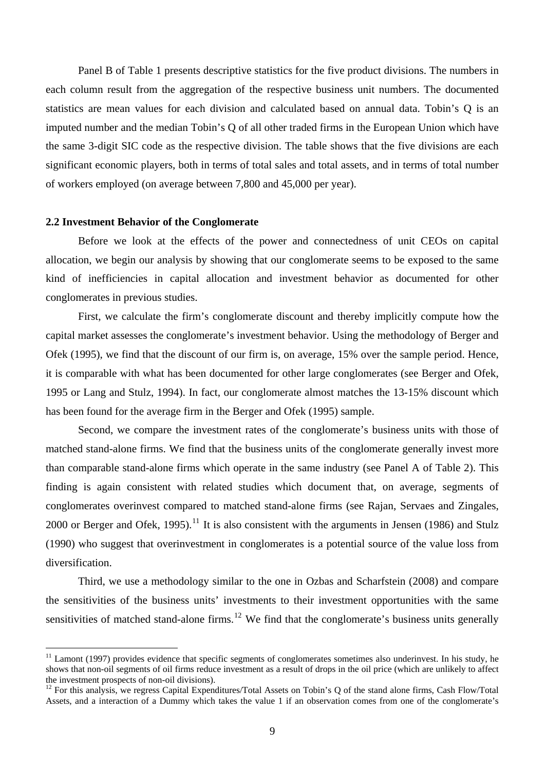Panel B of Table 1 presents descriptive statistics for the five product divisions. The numbers in each column result from the aggregation of the respective business unit numbers. The documented statistics are mean values for each division and calculated based on annual data. Tobin's Q is an imputed number and the median Tobin's Q of all other traded firms in the European Union which have the same 3-digit SIC code as the respective division. The table shows that the five divisions are each significant economic players, both in terms of total sales and total assets, and in terms of total number of workers employed (on average between 7,800 and 45,000 per year).

## **2.2 Investment Behavior of the Conglomerate**

 $\overline{a}$ 

Before we look at the effects of the power and connectedness of unit CEOs on capital allocation, we begin our analysis by showing that our conglomerate seems to be exposed to the same kind of inefficiencies in capital allocation and investment behavior as documented for other conglomerates in previous studies.

First, we calculate the firm's conglomerate discount and thereby implicitly compute how the capital market assesses the conglomerate's investment behavior. Using the methodology of Berger and Ofek (1995), we find that the discount of our firm is, on average, 15% over the sample period. Hence, it is comparable with what has been documented for other large conglomerates (see Berger and Ofek, 1995 or Lang and Stulz, 1994). In fact, our conglomerate almost matches the 13-15% discount which has been found for the average firm in the Berger and Ofek (1995) sample.

Second, we compare the investment rates of the conglomerate's business units with those of matched stand-alone firms. We find that the business units of the conglomerate generally invest more than comparable stand-alone firms which operate in the same industry (see Panel A of Table 2). This finding is again consistent with related studies which document that, on average, segments of conglomerates overinvest compared to matched stand-alone firms (see Rajan, Servaes and Zingales, 2000 or Berger and Ofek, 1995).<sup>[11](#page-9-0)</sup> It is also consistent with the arguments in Jensen (1986) and Stulz (1990) who suggest that overinvestment in conglomerates is a potential source of the value loss from diversification.

Third, we use a methodology similar to the one in Ozbas and Scharfstein (2008) and compare the sensitivities of the business units' investments to their investment opportunities with the same sensitivities of matched stand-alone firms.<sup>[12](#page-9-1)</sup> We find that the conglomerate's business units generally

<span id="page-9-0"></span> $11$  Lamont (1997) provides evidence that specific segments of conglomerates sometimes also underinvest. In his study, he shows that non-oil segments of oil firms reduce investment as a result of drops in the oil price (which are unlikely to affect the investment prospects of non-oil divisions).

<span id="page-9-1"></span> $12$  For this analysis, we regress Capital Expenditures/Total Assets on Tobin's Q of the stand alone firms, Cash Flow/Total Assets, and a interaction of a Dummy which takes the value 1 if an observation comes from one of the conglomerate's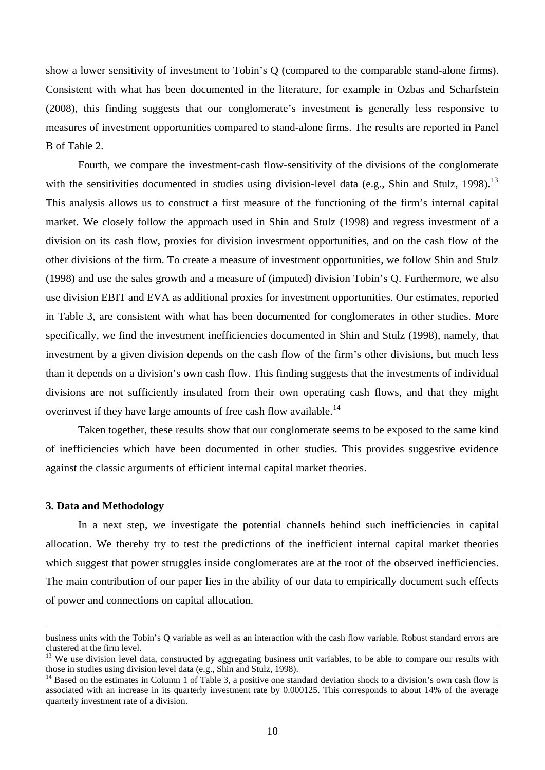show a lower sensitivity of investment to Tobin's Q (compared to the comparable stand-alone firms). Consistent with what has been documented in the literature, for example in Ozbas and Scharfstein (2008), this finding suggests that our conglomerate's investment is generally less responsive to measures of investment opportunities compared to stand-alone firms. The results are reported in Panel B of Table 2.

Fourth, we compare the investment-cash flow-sensitivity of the divisions of the conglomerate with the sensitivities documented in studies using division-level data (e.g., Shin and Stulz, 1998).<sup>[13](#page-10-0)</sup> This analysis allows us to construct a first measure of the functioning of the firm's internal capital market. We closely follow the approach used in Shin and Stulz (1998) and regress investment of a division on its cash flow, proxies for division investment opportunities, and on the cash flow of the other divisions of the firm. To create a measure of investment opportunities, we follow Shin and Stulz (1998) and use the sales growth and a measure of (imputed) division Tobin's Q. Furthermore, we also use division EBIT and EVA as additional proxies for investment opportunities. Our estimates, reported in Table 3, are consistent with what has been documented for conglomerates in other studies. More specifically, we find the investment inefficiencies documented in Shin and Stulz (1998), namely, that investment by a given division depends on the cash flow of the firm's other divisions, but much less than it depends on a division's own cash flow. This finding suggests that the investments of individual divisions are not sufficiently insulated from their own operating cash flows, and that they might overinvest if they have large amounts of free cash flow available.<sup>[14](#page-10-1)</sup>

Taken together, these results show that our conglomerate seems to be exposed to the same kind of inefficiencies which have been documented in other studies. This provides suggestive evidence against the classic arguments of efficient internal capital market theories.

### **3. Data and Methodology**

In a next step, we investigate the potential channels behind such inefficiencies in capital allocation. We thereby try to test the predictions of the inefficient internal capital market theories which suggest that power struggles inside conglomerates are at the root of the observed inefficiencies. The main contribution of our paper lies in the ability of our data to empirically document such effects of power and connections on capital allocation.

business units with the Tobin's Q variable as well as an interaction with the cash flow variable. Robust standard errors are clustered at the firm level.

<span id="page-10-0"></span><sup>&</sup>lt;sup>13</sup> We use division level data, constructed by aggregating business unit variables, to be able to compare our results with those in studies using division level data (e.g., Shin and Stulz, 1998).

<span id="page-10-1"></span><sup>&</sup>lt;sup>14</sup> Based on the estimates in Column 1 of Table 3, a positive one standard deviation shock to a division's own cash flow is associated with an increase in its quarterly investment rate by 0.000125. This corresponds to about 14% of the average quarterly investment rate of a division.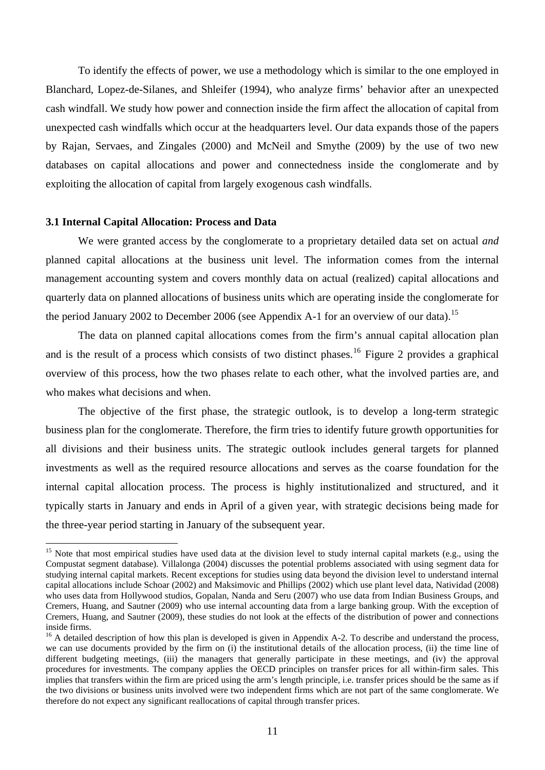To identify the effects of power, we use a methodology which is similar to the one employed in Blanchard, Lopez-de-Silanes, and Shleifer (1994), who analyze firms' behavior after an unexpected cash windfall. We study how power and connection inside the firm affect the allocation of capital from unexpected cash windfalls which occur at the headquarters level. Our data expands those of the papers by Rajan, Servaes, and Zingales (2000) and McNeil and Smythe (2009) by the use of two new databases on capital allocations and power and connectedness inside the conglomerate and by exploiting the allocation of capital from largely exogenous cash windfalls.

## **3.1 Internal Capital Allocation: Process and Data**

 $\overline{a}$ 

We were granted access by the conglomerate to a proprietary detailed data set on actual *and* planned capital allocations at the business unit level. The information comes from the internal management accounting system and covers monthly data on actual (realized) capital allocations and quarterly data on planned allocations of business units which are operating inside the conglomerate for the period January 2002 to December 2006 (see Appendix A-1 for an overview of our data).<sup>[15](#page-11-0)</sup>

The data on planned capital allocations comes from the firm's annual capital allocation plan and is the result of a process which consists of two distinct phases.<sup>[16](#page-11-1)</sup> Figure 2 provides a graphical overview of this process, how the two phases relate to each other, what the involved parties are, and who makes what decisions and when.

The objective of the first phase, the strategic outlook, is to develop a long-term strategic business plan for the conglomerate. Therefore, the firm tries to identify future growth opportunities for all divisions and their business units. The strategic outlook includes general targets for planned investments as well as the required resource allocations and serves as the coarse foundation for the internal capital allocation process. The process is highly institutionalized and structured, and it typically starts in January and ends in April of a given year, with strategic decisions being made for the three-year period starting in January of the subsequent year.

<span id="page-11-0"></span><sup>&</sup>lt;sup>15</sup> Note that most empirical studies have used data at the division level to study internal capital markets (e.g., using the Compustat segment database). Villalonga (2004) discusses the potential problems associated with using segment data for studying internal capital markets. Recent exceptions for studies using data beyond the division level to understand internal capital allocations include Schoar (2002) and Maksimovic and Phillips (2002) which use plant level data, Natividad (2008) who uses data from Hollywood studios, Gopalan, Nanda and Seru (2007) who use data from Indian Business Groups, and Cremers, Huang, and Sautner (2009) who use internal accounting data from a large banking group. With the exception of Cremers, Huang, and Sautner (2009), these studies do not look at the effects of the distribution of power and connections inside firms.

<span id="page-11-1"></span> $16$  A detailed description of how this plan is developed is given in Appendix A-2. To describe and understand the process, we can use documents provided by the firm on (i) the institutional details of the allocation process, (ii) the time line of different budgeting meetings, (iii) the managers that generally participate in these meetings, and (iv) the approval procedures for investments. The company applies the OECD principles on transfer prices for all within-firm sales. This implies that transfers within the firm are priced using the arm's length principle, i.e. transfer prices should be the same as if the two divisions or business units involved were two independent firms which are not part of the same conglomerate. We therefore do not expect any significant reallocations of capital through transfer prices.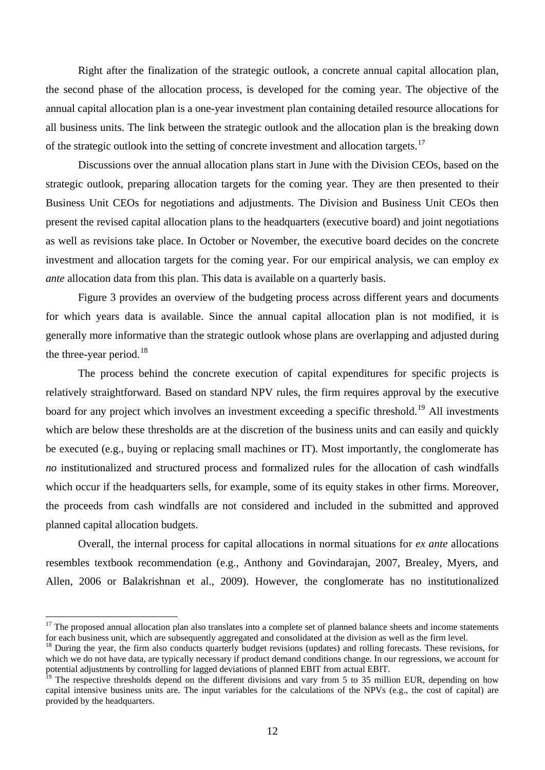Right after the finalization of the strategic outlook, a concrete annual capital allocation plan, the second phase of the allocation process, is developed for the coming year. The objective of the annual capital allocation plan is a one-year investment plan containing detailed resource allocations for all business units. The link between the strategic outlook and the allocation plan is the breaking down of the strategic outlook into the setting of concrete investment and allocation targets.<sup>[17](#page-12-0)</sup>

Discussions over the annual allocation plans start in June with the Division CEOs, based on the strategic outlook, preparing allocation targets for the coming year. They are then presented to their Business Unit CEOs for negotiations and adjustments. The Division and Business Unit CEOs then present the revised capital allocation plans to the headquarters (executive board) and joint negotiations as well as revisions take place. In October or November, the executive board decides on the concrete investment and allocation targets for the coming year. For our empirical analysis, we can employ *ex ante* allocation data from this plan. This data is available on a quarterly basis.

Figure 3 provides an overview of the budgeting process across different years and documents for which years data is available. Since the annual capital allocation plan is not modified, it is generally more informative than the strategic outlook whose plans are overlapping and adjusted during the three-year period.<sup>[18](#page-12-1)</sup>

The process behind the concrete execution of capital expenditures for specific projects is relatively straightforward. Based on standard NPV rules, the firm requires approval by the executive board for any project which involves an investment exceeding a specific threshold.<sup>[19](#page-12-2)</sup> All investments which are below these thresholds are at the discretion of the business units and can easily and quickly be executed (e.g., buying or replacing small machines or IT). Most importantly, the conglomerate has *no* institutionalized and structured process and formalized rules for the allocation of cash windfalls which occur if the headquarters sells, for example, some of its equity stakes in other firms. Moreover, the proceeds from cash windfalls are not considered and included in the submitted and approved planned capital allocation budgets.

Overall, the internal process for capital allocations in normal situations for *ex ante* allocations resembles textbook recommendation (e.g., Anthony and Govindarajan, 2007, Brealey, Myers, and Allen, 2006 or Balakrishnan et al., 2009). However, the conglomerate has no institutionalized

<span id="page-12-0"></span> $17$  The proposed annual allocation plan also translates into a complete set of planned balance sheets and income statements for each business unit, which are subsequently aggregated and consolidated at the division as well as the firm level.<br><sup>18</sup> During the year, the firm also conducts quarterly budget revisions (updates) and rolling forecasts.

<span id="page-12-1"></span>which we do not have data, are typically necessary if product demand conditions change. In our regressions, we account for potential adjustments by controlling for lagged deviations of planned EBIT from actual EBIT.

<span id="page-12-2"></span>The respective thresholds depend on the different divisions and vary from 5 to 35 million EUR, depending on how capital intensive business units are. The input variables for the calculations of the NPVs (e.g., the cost of capital) are provided by the headquarters.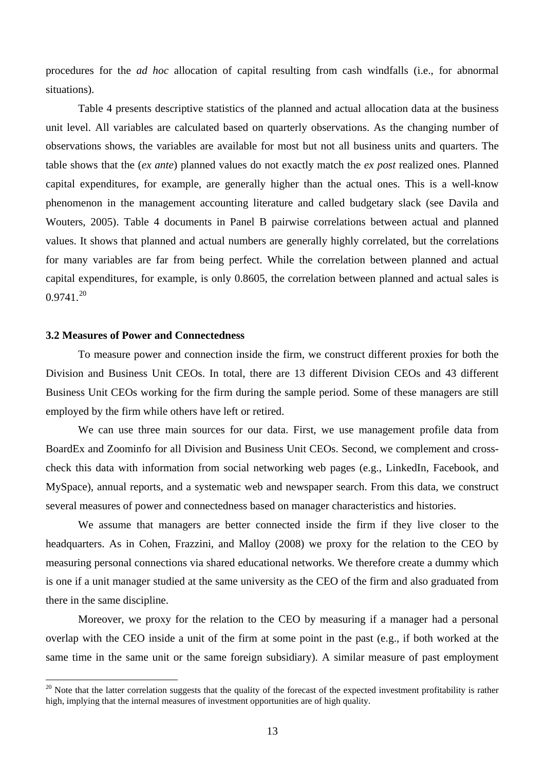procedures for the *ad hoc* allocation of capital resulting from cash windfalls (i.e., for abnormal situations).

Table 4 presents descriptive statistics of the planned and actual allocation data at the business unit level. All variables are calculated based on quarterly observations. As the changing number of observations shows, the variables are available for most but not all business units and quarters. The table shows that the (*ex ante*) planned values do not exactly match the *ex post* realized ones. Planned capital expenditures, for example, are generally higher than the actual ones. This is a well-know phenomenon in the management accounting literature and called budgetary slack (see Davila and Wouters, 2005). Table 4 documents in Panel B pairwise correlations between actual and planned values. It shows that planned and actual numbers are generally highly correlated, but the correlations for many variables are far from being perfect. While the correlation between planned and actual capital expenditures, for example, is only 0.8605, the correlation between planned and actual sales is  $0.9741.<sup>20</sup>$  $0.9741.<sup>20</sup>$  $0.9741.<sup>20</sup>$ 

# **3.2 Measures of Power and Connectedness**

 $\overline{a}$ 

To measure power and connection inside the firm, we construct different proxies for both the Division and Business Unit CEOs. In total, there are 13 different Division CEOs and 43 different Business Unit CEOs working for the firm during the sample period. Some of these managers are still employed by the firm while others have left or retired.

We can use three main sources for our data. First, we use management profile data from BoardEx and Zoominfo for all Division and Business Unit CEOs. Second, we complement and crosscheck this data with information from social networking web pages (e.g., LinkedIn, Facebook, and MySpace), annual reports, and a systematic web and newspaper search. From this data, we construct several measures of power and connectedness based on manager characteristics and histories.

We assume that managers are better connected inside the firm if they live closer to the headquarters. As in Cohen, Frazzini, and Malloy (2008) we proxy for the relation to the CEO by measuring personal connections via shared educational networks. We therefore create a dummy which is one if a unit manager studied at the same university as the CEO of the firm and also graduated from there in the same discipline.

Moreover, we proxy for the relation to the CEO by measuring if a manager had a personal overlap with the CEO inside a unit of the firm at some point in the past (e.g., if both worked at the same time in the same unit or the same foreign subsidiary). A similar measure of past employment

<span id="page-13-0"></span> $20$  Note that the latter correlation suggests that the quality of the forecast of the expected investment profitability is rather high, implying that the internal measures of investment opportunities are of high quality.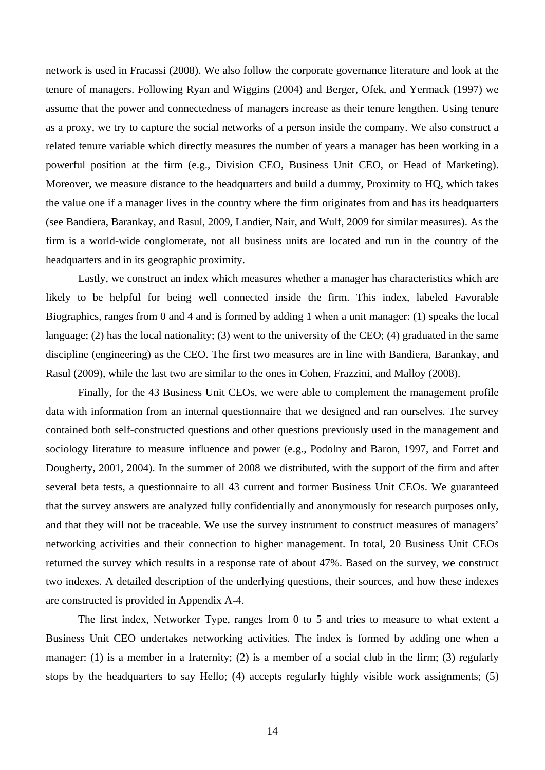network is used in Fracassi (2008). We also follow the corporate governance literature and look at the tenure of managers. Following Ryan and Wiggins (2004) and Berger, Ofek, and Yermack (1997) we assume that the power and connectedness of managers increase as their tenure lengthen. Using tenure as a proxy, we try to capture the social networks of a person inside the company. We also construct a related tenure variable which directly measures the number of years a manager has been working in a powerful position at the firm (e.g., Division CEO, Business Unit CEO, or Head of Marketing). Moreover, we measure distance to the headquarters and build a dummy, Proximity to HQ, which takes the value one if a manager lives in the country where the firm originates from and has its headquarters (see Bandiera, Barankay, and Rasul, 2009, Landier, Nair, and Wulf, 2009 for similar measures). As the firm is a world-wide conglomerate, not all business units are located and run in the country of the headquarters and in its geographic proximity.

Lastly, we construct an index which measures whether a manager has characteristics which are likely to be helpful for being well connected inside the firm. This index, labeled Favorable Biographics, ranges from 0 and 4 and is formed by adding 1 when a unit manager: (1) speaks the local language; (2) has the local nationality; (3) went to the university of the CEO; (4) graduated in the same discipline (engineering) as the CEO. The first two measures are in line with Bandiera, Barankay, and Rasul (2009), while the last two are similar to the ones in Cohen, Frazzini, and Malloy (2008).

Finally, for the 43 Business Unit CEOs, we were able to complement the management profile data with information from an internal questionnaire that we designed and ran ourselves. The survey contained both self-constructed questions and other questions previously used in the management and sociology literature to measure influence and power (e.g., Podolny and Baron, 1997, and Forret and Dougherty, 2001, 2004). In the summer of 2008 we distributed, with the support of the firm and after several beta tests, a questionnaire to all 43 current and former Business Unit CEOs. We guaranteed that the survey answers are analyzed fully confidentially and anonymously for research purposes only, and that they will not be traceable. We use the survey instrument to construct measures of managers' networking activities and their connection to higher management. In total, 20 Business Unit CEOs returned the survey which results in a response rate of about 47%. Based on the survey, we construct two indexes. A detailed description of the underlying questions, their sources, and how these indexes are constructed is provided in Appendix A-4.

The first index, Networker Type, ranges from 0 to 5 and tries to measure to what extent a Business Unit CEO undertakes networking activities. The index is formed by adding one when a manager: (1) is a member in a fraternity; (2) is a member of a social club in the firm; (3) regularly stops by the headquarters to say Hello; (4) accepts regularly highly visible work assignments; (5)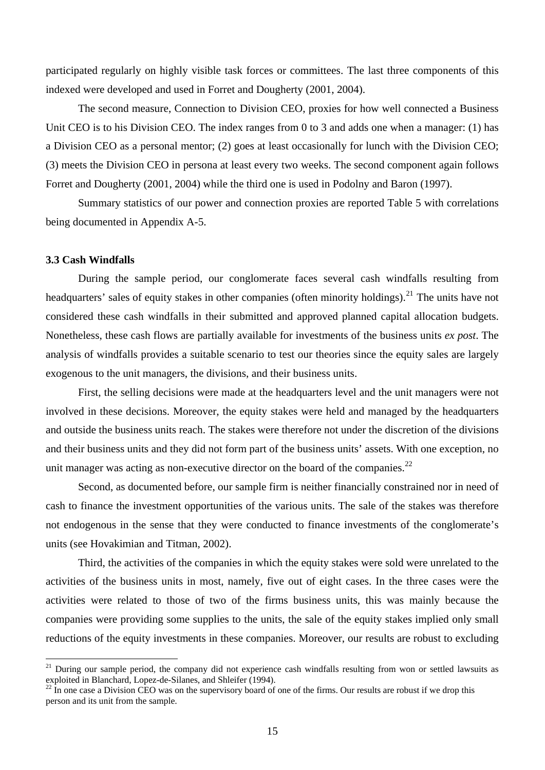participated regularly on highly visible task forces or committees. The last three components of this indexed were developed and used in Forret and Dougherty (2001, 2004).

The second measure, Connection to Division CEO, proxies for how well connected a Business Unit CEO is to his Division CEO. The index ranges from  $0$  to 3 and adds one when a manager: (1) has a Division CEO as a personal mentor; (2) goes at least occasionally for lunch with the Division CEO; (3) meets the Division CEO in persona at least every two weeks. The second component again follows Forret and Dougherty (2001, 2004) while the third one is used in Podolny and Baron (1997).

Summary statistics of our power and connection proxies are reported Table 5 with correlations being documented in Appendix A-5.

## **3.3 Cash Windfalls**

 $\overline{a}$ 

During the sample period, our conglomerate faces several cash windfalls resulting from headquarters' sales of equity stakes in other companies (often minority holdings).<sup>[21](#page-15-0)</sup> The units have not considered these cash windfalls in their submitted and approved planned capital allocation budgets. Nonetheless, these cash flows are partially available for investments of the business units *ex post*. The analysis of windfalls provides a suitable scenario to test our theories since the equity sales are largely exogenous to the unit managers, the divisions, and their business units.

First, the selling decisions were made at the headquarters level and the unit managers were not involved in these decisions. Moreover, the equity stakes were held and managed by the headquarters and outside the business units reach. The stakes were therefore not under the discretion of the divisions and their business units and they did not form part of the business units' assets. With one exception, no unit manager was acting as non-executive director on the board of the companies.<sup>[22](#page-15-1)</sup>

Second, as documented before, our sample firm is neither financially constrained nor in need of cash to finance the investment opportunities of the various units. The sale of the stakes was therefore not endogenous in the sense that they were conducted to finance investments of the conglomerate's units (see Hovakimian and Titman, 2002).

Third, the activities of the companies in which the equity stakes were sold were unrelated to the activities of the business units in most, namely, five out of eight cases. In the three cases were the activities were related to those of two of the firms business units, this was mainly because the companies were providing some supplies to the units, the sale of the equity stakes implied only small reductions of the equity investments in these companies. Moreover, our results are robust to excluding

<span id="page-15-0"></span><sup>&</sup>lt;sup>21</sup> During our sample period, the company did not experience cash windfalls resulting from won or settled lawsuits as exploited in Blanchard, Lopez-de-Silanes, and Shleifer (1994).

<span id="page-15-1"></span>In one case a Division CEO was on the supervisory board of one of the firms. Our results are robust if we drop this person and its unit from the sample.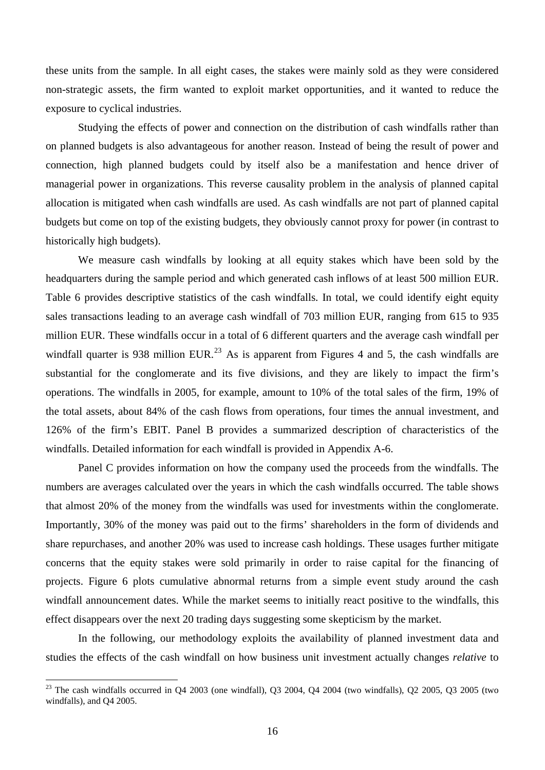these units from the sample. In all eight cases, the stakes were mainly sold as they were considered non-strategic assets, the firm wanted to exploit market opportunities, and it wanted to reduce the exposure to cyclical industries.

Studying the effects of power and connection on the distribution of cash windfalls rather than on planned budgets is also advantageous for another reason. Instead of being the result of power and connection, high planned budgets could by itself also be a manifestation and hence driver of managerial power in organizations. This reverse causality problem in the analysis of planned capital allocation is mitigated when cash windfalls are used. As cash windfalls are not part of planned capital budgets but come on top of the existing budgets, they obviously cannot proxy for power (in contrast to historically high budgets).

We measure cash windfalls by looking at all equity stakes which have been sold by the headquarters during the sample period and which generated cash inflows of at least 500 million EUR. Table 6 provides descriptive statistics of the cash windfalls. In total, we could identify eight equity sales transactions leading to an average cash windfall of 703 million EUR, ranging from 615 to 935 million EUR. These windfalls occur in a total of 6 different quarters and the average cash windfall per windfall quarter is 938 million EUR.<sup>[23](#page-16-0)</sup> As is apparent from Figures 4 and 5, the cash windfalls are substantial for the conglomerate and its five divisions, and they are likely to impact the firm's operations. The windfalls in 2005, for example, amount to 10% of the total sales of the firm, 19% of the total assets, about 84% of the cash flows from operations, four times the annual investment, and 126% of the firm's EBIT. Panel B provides a summarized description of characteristics of the windfalls. Detailed information for each windfall is provided in Appendix A-6.

Panel C provides information on how the company used the proceeds from the windfalls. The numbers are averages calculated over the years in which the cash windfalls occurred. The table shows that almost 20% of the money from the windfalls was used for investments within the conglomerate. Importantly, 30% of the money was paid out to the firms' shareholders in the form of dividends and share repurchases, and another 20% was used to increase cash holdings. These usages further mitigate concerns that the equity stakes were sold primarily in order to raise capital for the financing of projects. Figure 6 plots cumulative abnormal returns from a simple event study around the cash windfall announcement dates. While the market seems to initially react positive to the windfalls, this effect disappears over the next 20 trading days suggesting some skepticism by the market.

 In the following, our methodology exploits the availability of planned investment data and studies the effects of the cash windfall on how business unit investment actually changes *relative* to

<span id="page-16-0"></span><sup>&</sup>lt;sup>23</sup> The cash windfalls occurred in Q4 2003 (one windfall), Q3 2004, Q4 2004 (two windfalls), Q2 2005, Q3 2005 (two windfalls), and Q4 2005.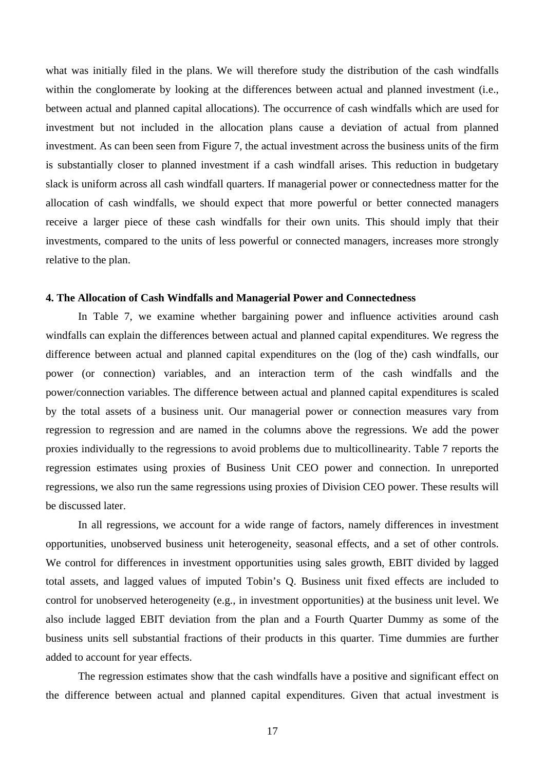what was initially filed in the plans. We will therefore study the distribution of the cash windfalls within the conglomerate by looking at the differences between actual and planned investment (i.e., between actual and planned capital allocations). The occurrence of cash windfalls which are used for investment but not included in the allocation plans cause a deviation of actual from planned investment. As can been seen from Figure 7, the actual investment across the business units of the firm is substantially closer to planned investment if a cash windfall arises. This reduction in budgetary slack is uniform across all cash windfall quarters. If managerial power or connectedness matter for the allocation of cash windfalls, we should expect that more powerful or better connected managers receive a larger piece of these cash windfalls for their own units. This should imply that their investments, compared to the units of less powerful or connected managers, increases more strongly relative to the plan.

### **4. The Allocation of Cash Windfalls and Managerial Power and Connectedness**

In Table 7, we examine whether bargaining power and influence activities around cash windfalls can explain the differences between actual and planned capital expenditures. We regress the difference between actual and planned capital expenditures on the (log of the) cash windfalls, our power (or connection) variables, and an interaction term of the cash windfalls and the power/connection variables. The difference between actual and planned capital expenditures is scaled by the total assets of a business unit. Our managerial power or connection measures vary from regression to regression and are named in the columns above the regressions. We add the power proxies individually to the regressions to avoid problems due to multicollinearity. Table 7 reports the regression estimates using proxies of Business Unit CEO power and connection. In unreported regressions, we also run the same regressions using proxies of Division CEO power. These results will be discussed later.

In all regressions, we account for a wide range of factors, namely differences in investment opportunities, unobserved business unit heterogeneity, seasonal effects, and a set of other controls. We control for differences in investment opportunities using sales growth, EBIT divided by lagged total assets, and lagged values of imputed Tobin's Q. Business unit fixed effects are included to control for unobserved heterogeneity (e.g., in investment opportunities) at the business unit level. We also include lagged EBIT deviation from the plan and a Fourth Quarter Dummy as some of the business units sell substantial fractions of their products in this quarter. Time dummies are further added to account for year effects.

The regression estimates show that the cash windfalls have a positive and significant effect on the difference between actual and planned capital expenditures. Given that actual investment is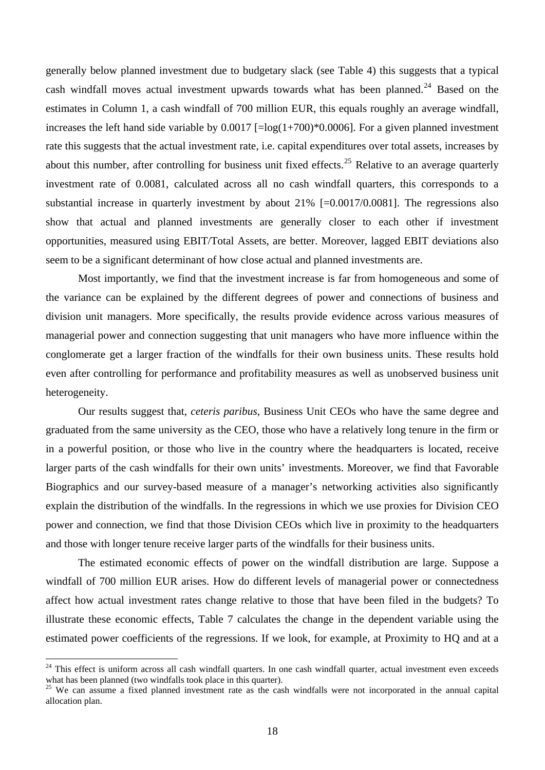generally below planned investment due to budgetary slack (see Table 4) this suggests that a typical cash windfall moves actual investment upwards towards what has been planned.<sup>[24](#page-18-0)</sup> Based on the estimates in Column 1, a cash windfall of 700 million EUR, this equals roughly an average windfall, increases the left hand side variable by  $0.0017$  [=log(1+700)\*0.0006]. For a given planned investment rate this suggests that the actual investment rate, i.e. capital expenditures over total assets, increases by about this number, after controlling for business unit fixed effects.<sup>[25](#page-18-1)</sup> Relative to an average quarterly investment rate of 0.0081, calculated across all no cash windfall quarters, this corresponds to a substantial increase in quarterly investment by about 21% [=0.0017/0.0081]. The regressions also show that actual and planned investments are generally closer to each other if investment opportunities, measured using EBIT/Total Assets, are better. Moreover, lagged EBIT deviations also seem to be a significant determinant of how close actual and planned investments are.

Most importantly, we find that the investment increase is far from homogeneous and some of the variance can be explained by the different degrees of power and connections of business and division unit managers. More specifically, the results provide evidence across various measures of managerial power and connection suggesting that unit managers who have more influence within the conglomerate get a larger fraction of the windfalls for their own business units. These results hold even after controlling for performance and profitability measures as well as unobserved business unit heterogeneity.

Our results suggest that, *ceteris paribus*, Business Unit CEOs who have the same degree and graduated from the same university as the CEO, those who have a relatively long tenure in the firm or in a powerful position, or those who live in the country where the headquarters is located, receive larger parts of the cash windfalls for their own units' investments. Moreover, we find that Favorable Biographics and our survey-based measure of a manager's networking activities also significantly explain the distribution of the windfalls. In the regressions in which we use proxies for Division CEO power and connection, we find that those Division CEOs which live in proximity to the headquarters and those with longer tenure receive larger parts of the windfalls for their business units.

The estimated economic effects of power on the windfall distribution are large. Suppose a windfall of 700 million EUR arises. How do different levels of managerial power or connectedness affect how actual investment rates change relative to those that have been filed in the budgets? To illustrate these economic effects, Table 7 calculates the change in the dependent variable using the estimated power coefficients of the regressions. If we look, for example, at Proximity to HQ and at a

<span id="page-18-0"></span> $24$  This effect is uniform across all cash windfall quarters. In one cash windfall quarter, actual investment even exceeds what has been planned (two windfalls took place in this quarter).

<span id="page-18-1"></span><sup>&</sup>lt;sup>25</sup> We can assume a fixed planned investment rate as the cash windfalls were not incorporated in the annual capital allocation plan.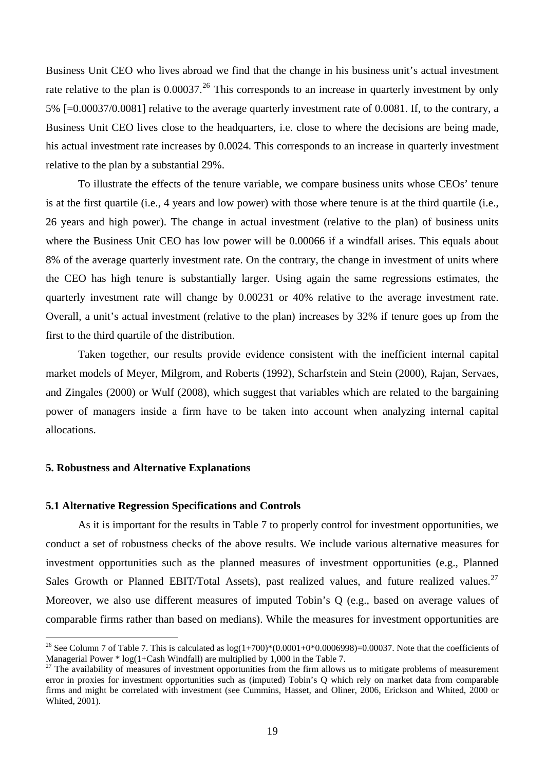Business Unit CEO who lives abroad we find that the change in his business unit's actual investment rate relative to the plan is 0.00037.<sup>[26](#page-19-0)</sup> This corresponds to an increase in quarterly investment by only 5% [=0.00037/0.0081] relative to the average quarterly investment rate of 0.0081. If, to the contrary, a Business Unit CEO lives close to the headquarters, i.e. close to where the decisions are being made, his actual investment rate increases by 0.0024. This corresponds to an increase in quarterly investment relative to the plan by a substantial 29%.

To illustrate the effects of the tenure variable, we compare business units whose CEOs' tenure is at the first quartile (i.e., 4 years and low power) with those where tenure is at the third quartile (i.e., 26 years and high power). The change in actual investment (relative to the plan) of business units where the Business Unit CEO has low power will be 0.00066 if a windfall arises. This equals about 8% of the average quarterly investment rate. On the contrary, the change in investment of units where the CEO has high tenure is substantially larger. Using again the same regressions estimates, the quarterly investment rate will change by 0.00231 or 40% relative to the average investment rate. Overall, a unit's actual investment (relative to the plan) increases by 32% if tenure goes up from the first to the third quartile of the distribution.

Taken together, our results provide evidence consistent with the inefficient internal capital market models of Meyer, Milgrom, and Roberts (1992), Scharfstein and Stein (2000), Rajan, Servaes, and Zingales (2000) or Wulf (2008), which suggest that variables which are related to the bargaining power of managers inside a firm have to be taken into account when analyzing internal capital allocations.

# **5. Robustness and Alternative Explanations**

 $\overline{a}$ 

### **5.1 Alternative Regression Specifications and Controls**

As it is important for the results in Table 7 to properly control for investment opportunities, we conduct a set of robustness checks of the above results. We include various alternative measures for investment opportunities such as the planned measures of investment opportunities (e.g., Planned Sales Growth or Planned EBIT/Total Assets), past realized values, and future realized values.<sup>[27](#page-19-1)</sup> Moreover, we also use different measures of imputed Tobin's Q (e.g., based on average values of comparable firms rather than based on medians). While the measures for investment opportunities are

<span id="page-19-0"></span><sup>&</sup>lt;sup>26</sup> See Column 7 of Table 7. This is calculated as  $log(1+700)*(0.0001+0*0.0006998)=0.00037$ . Note that the coefficients of Managerial Power \* log(1+Cash Windfall) are multiplied by 1,000 in the Table 7.

<span id="page-19-1"></span> $27$  The availability of measures of investment opportunities from the firm allows us to mitigate problems of measurement error in proxies for investment opportunities such as (imputed) Tobin's Q which rely on market data from comparable firms and might be correlated with investment (see Cummins, Hasset, and Oliner, 2006, Erickson and Whited, 2000 or Whited, 2001).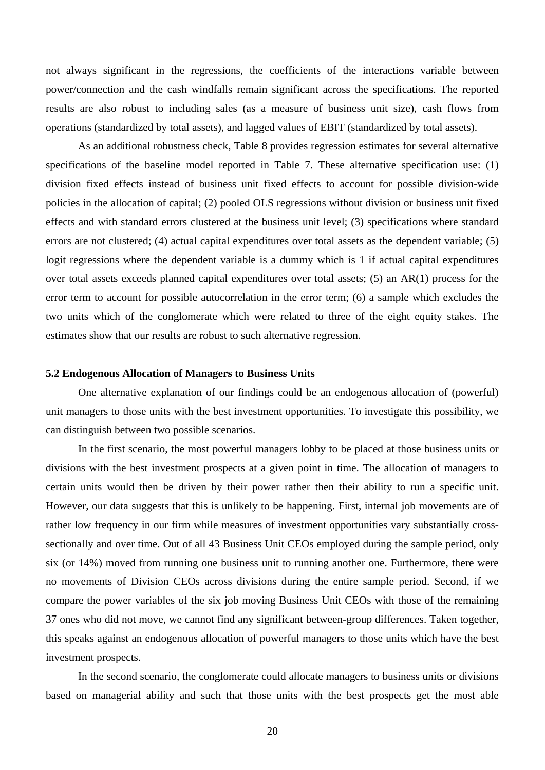not always significant in the regressions, the coefficients of the interactions variable between power/connection and the cash windfalls remain significant across the specifications. The reported results are also robust to including sales (as a measure of business unit size), cash flows from operations (standardized by total assets), and lagged values of EBIT (standardized by total assets).

As an additional robustness check, Table 8 provides regression estimates for several alternative specifications of the baseline model reported in Table 7. These alternative specification use: (1) division fixed effects instead of business unit fixed effects to account for possible division-wide policies in the allocation of capital; (2) pooled OLS regressions without division or business unit fixed effects and with standard errors clustered at the business unit level; (3) specifications where standard errors are not clustered; (4) actual capital expenditures over total assets as the dependent variable; (5) logit regressions where the dependent variable is a dummy which is 1 if actual capital expenditures over total assets exceeds planned capital expenditures over total assets; (5) an AR(1) process for the error term to account for possible autocorrelation in the error term; (6) a sample which excludes the two units which of the conglomerate which were related to three of the eight equity stakes. The estimates show that our results are robust to such alternative regression.

## **5.2 Endogenous Allocation of Managers to Business Units**

One alternative explanation of our findings could be an endogenous allocation of (powerful) unit managers to those units with the best investment opportunities. To investigate this possibility, we can distinguish between two possible scenarios.

In the first scenario, the most powerful managers lobby to be placed at those business units or divisions with the best investment prospects at a given point in time. The allocation of managers to certain units would then be driven by their power rather then their ability to run a specific unit. However, our data suggests that this is unlikely to be happening. First, internal job movements are of rather low frequency in our firm while measures of investment opportunities vary substantially crosssectionally and over time. Out of all 43 Business Unit CEOs employed during the sample period, only six (or 14%) moved from running one business unit to running another one. Furthermore, there were no movements of Division CEOs across divisions during the entire sample period. Second, if we compare the power variables of the six job moving Business Unit CEOs with those of the remaining 37 ones who did not move, we cannot find any significant between-group differences. Taken together, this speaks against an endogenous allocation of powerful managers to those units which have the best investment prospects.

In the second scenario, the conglomerate could allocate managers to business units or divisions based on managerial ability and such that those units with the best prospects get the most able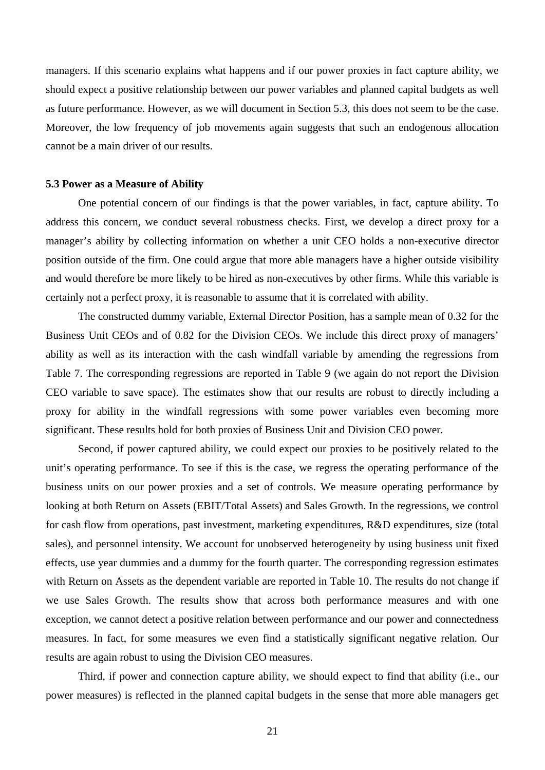managers. If this scenario explains what happens and if our power proxies in fact capture ability, we should expect a positive relationship between our power variables and planned capital budgets as well as future performance. However, as we will document in Section 5.3, this does not seem to be the case. Moreover, the low frequency of job movements again suggests that such an endogenous allocation cannot be a main driver of our results.

## **5.3 Power as a Measure of Ability**

One potential concern of our findings is that the power variables, in fact, capture ability. To address this concern, we conduct several robustness checks. First, we develop a direct proxy for a manager's ability by collecting information on whether a unit CEO holds a non-executive director position outside of the firm. One could argue that more able managers have a higher outside visibility and would therefore be more likely to be hired as non-executives by other firms. While this variable is certainly not a perfect proxy, it is reasonable to assume that it is correlated with ability.

The constructed dummy variable, External Director Position, has a sample mean of 0.32 for the Business Unit CEOs and of 0.82 for the Division CEOs. We include this direct proxy of managers' ability as well as its interaction with the cash windfall variable by amending the regressions from Table 7. The corresponding regressions are reported in Table 9 (we again do not report the Division CEO variable to save space). The estimates show that our results are robust to directly including a proxy for ability in the windfall regressions with some power variables even becoming more significant. These results hold for both proxies of Business Unit and Division CEO power.

Second, if power captured ability, we could expect our proxies to be positively related to the unit's operating performance. To see if this is the case, we regress the operating performance of the business units on our power proxies and a set of controls. We measure operating performance by looking at both Return on Assets (EBIT/Total Assets) and Sales Growth. In the regressions, we control for cash flow from operations, past investment, marketing expenditures, R&D expenditures, size (total sales), and personnel intensity. We account for unobserved heterogeneity by using business unit fixed effects, use year dummies and a dummy for the fourth quarter. The corresponding regression estimates with Return on Assets as the dependent variable are reported in Table 10. The results do not change if we use Sales Growth. The results show that across both performance measures and with one exception, we cannot detect a positive relation between performance and our power and connectedness measures. In fact, for some measures we even find a statistically significant negative relation. Our results are again robust to using the Division CEO measures.

Third, if power and connection capture ability, we should expect to find that ability (i.e., our power measures) is reflected in the planned capital budgets in the sense that more able managers get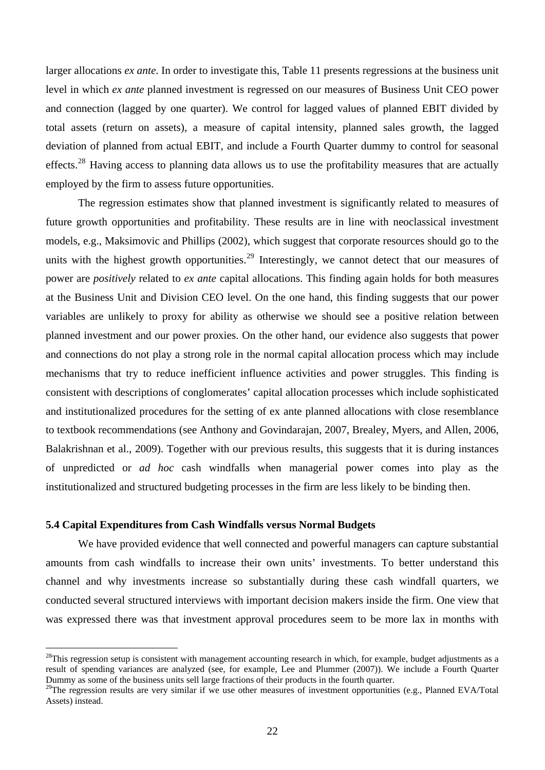larger allocations *ex ante*. In order to investigate this, Table 11 presents regressions at the business unit level in which *ex ante* planned investment is regressed on our measures of Business Unit CEO power and connection (lagged by one quarter). We control for lagged values of planned EBIT divided by total assets (return on assets), a measure of capital intensity, planned sales growth, the lagged deviation of planned from actual EBIT, and include a Fourth Quarter dummy to control for seasonal effects.<sup>[28](#page-22-0)</sup> Having access to planning data allows us to use the profitability measures that are actually employed by the firm to assess future opportunities.

The regression estimates show that planned investment is significantly related to measures of future growth opportunities and profitability. These results are in line with neoclassical investment models, e.g., Maksimovic and Phillips (2002), which suggest that corporate resources should go to the units with the highest growth opportunities.<sup>[29](#page-22-1)</sup> Interestingly, we cannot detect that our measures of power are *positively* related to *ex ante* capital allocations. This finding again holds for both measures at the Business Unit and Division CEO level. On the one hand, this finding suggests that our power variables are unlikely to proxy for ability as otherwise we should see a positive relation between planned investment and our power proxies. On the other hand, our evidence also suggests that power and connections do not play a strong role in the normal capital allocation process which may include mechanisms that try to reduce inefficient influence activities and power struggles. This finding is consistent with descriptions of conglomerates' capital allocation processes which include sophisticated and institutionalized procedures for the setting of ex ante planned allocations with close resemblance to textbook recommendations (see Anthony and Govindarajan, 2007, Brealey, Myers, and Allen, 2006, Balakrishnan et al., 2009). Together with our previous results, this suggests that it is during instances of unpredicted or *ad hoc* cash windfalls when managerial power comes into play as the institutionalized and structured budgeting processes in the firm are less likely to be binding then.

# **5.4 Capital Expenditures from Cash Windfalls versus Normal Budgets**

 $\overline{a}$ 

We have provided evidence that well connected and powerful managers can capture substantial amounts from cash windfalls to increase their own units' investments. To better understand this channel and why investments increase so substantially during these cash windfall quarters, we conducted several structured interviews with important decision makers inside the firm. One view that was expressed there was that investment approval procedures seem to be more lax in months with

<span id="page-22-0"></span> $^{28}$ This regression setup is consistent with management accounting research in which, for example, budget adjustments as a result of spending variances are analyzed (see, for example, Lee and Plummer (2007)). We include a Fourth Quarter Dummy as some of the business units sell large fractions of their products in the fourth quarter.

<span id="page-22-1"></span> $^{29}$ The regression results are very similar if we use other measures of investment opportunities (e.g., Planned EVA/Total Assets) instead.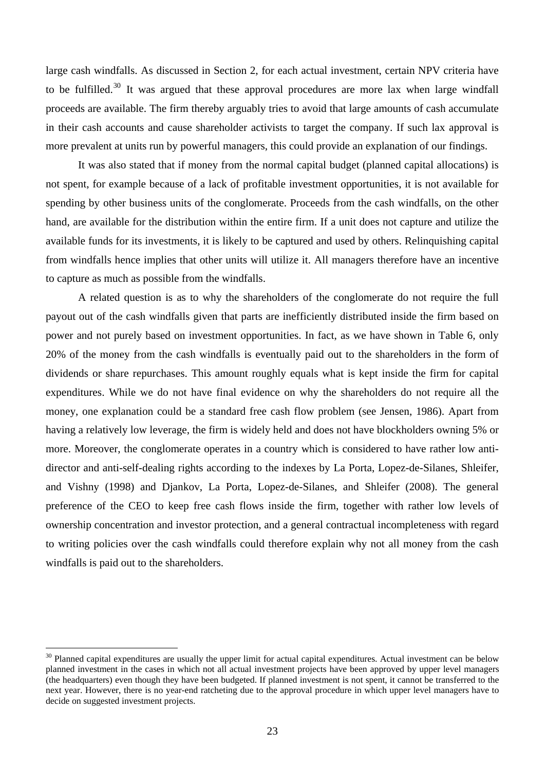large cash windfalls. As discussed in Section 2, for each actual investment, certain NPV criteria have to be fulfilled.<sup>[30](#page-23-0)</sup> It was argued that these approval procedures are more lax when large windfall proceeds are available. The firm thereby arguably tries to avoid that large amounts of cash accumulate in their cash accounts and cause shareholder activists to target the company. If such lax approval is more prevalent at units run by powerful managers, this could provide an explanation of our findings.

It was also stated that if money from the normal capital budget (planned capital allocations) is not spent, for example because of a lack of profitable investment opportunities, it is not available for spending by other business units of the conglomerate. Proceeds from the cash windfalls, on the other hand, are available for the distribution within the entire firm. If a unit does not capture and utilize the available funds for its investments, it is likely to be captured and used by others. Relinquishing capital from windfalls hence implies that other units will utilize it. All managers therefore have an incentive to capture as much as possible from the windfalls.

A related question is as to why the shareholders of the conglomerate do not require the full payout out of the cash windfalls given that parts are inefficiently distributed inside the firm based on power and not purely based on investment opportunities. In fact, as we have shown in Table 6, only 20% of the money from the cash windfalls is eventually paid out to the shareholders in the form of dividends or share repurchases. This amount roughly equals what is kept inside the firm for capital expenditures. While we do not have final evidence on why the shareholders do not require all the money, one explanation could be a standard free cash flow problem (see Jensen, 1986). Apart from having a relatively low leverage, the firm is widely held and does not have blockholders owning 5% or more. Moreover, the conglomerate operates in a country which is considered to have rather low antidirector and anti-self-dealing rights according to the indexes by La Porta, Lopez-de-Silanes, Shleifer, and Vishny (1998) and Djankov, La Porta, Lopez-de-Silanes, and Shleifer (2008). The general preference of the CEO to keep free cash flows inside the firm, together with rather low levels of ownership concentration and investor protection, and a general contractual incompleteness with regard to writing policies over the cash windfalls could therefore explain why not all money from the cash windfalls is paid out to the shareholders.

<span id="page-23-0"></span> $30$  Planned capital expenditures are usually the upper limit for actual capital expenditures. Actual investment can be below planned investment in the cases in which not all actual investment projects have been approved by upper level managers (the headquarters) even though they have been budgeted. If planned investment is not spent, it cannot be transferred to the next year. However, there is no year-end ratcheting due to the approval procedure in which upper level managers have to decide on suggested investment projects.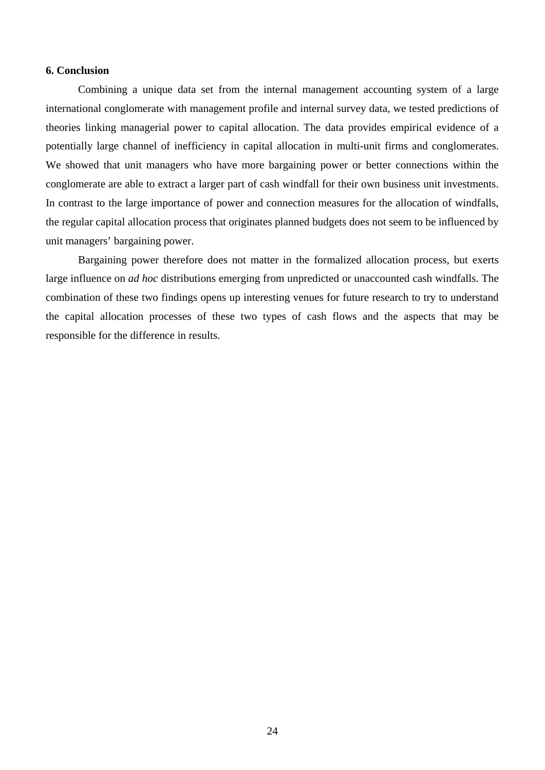# **6. Conclusion**

Combining a unique data set from the internal management accounting system of a large international conglomerate with management profile and internal survey data, we tested predictions of theories linking managerial power to capital allocation. The data provides empirical evidence of a potentially large channel of inefficiency in capital allocation in multi-unit firms and conglomerates. We showed that unit managers who have more bargaining power or better connections within the conglomerate are able to extract a larger part of cash windfall for their own business unit investments. In contrast to the large importance of power and connection measures for the allocation of windfalls, the regular capital allocation process that originates planned budgets does not seem to be influenced by unit managers' bargaining power.

Bargaining power therefore does not matter in the formalized allocation process, but exerts large influence on *ad hoc* distributions emerging from unpredicted or unaccounted cash windfalls. The combination of these two findings opens up interesting venues for future research to try to understand the capital allocation processes of these two types of cash flows and the aspects that may be responsible for the difference in results.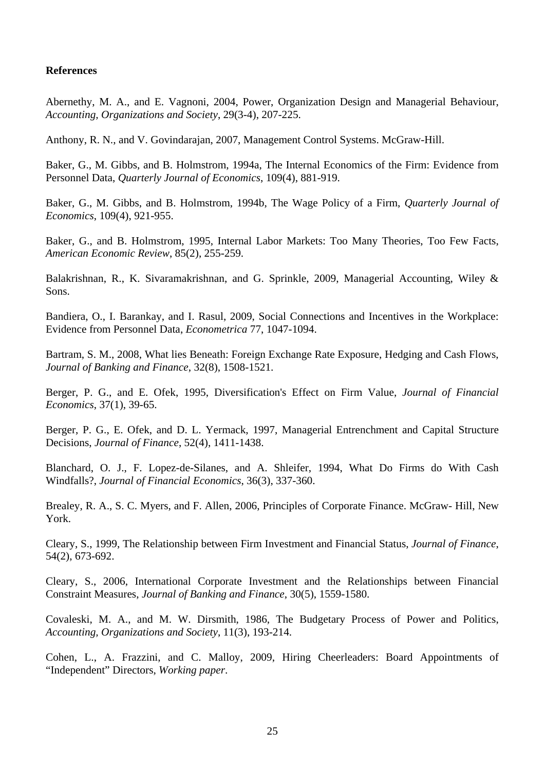# **References**

Abernethy, M. A., and E. Vagnoni, 2004, Power, Organization Design and Managerial Behaviour, *Accounting, Organizations and Society*, 29(3-4), 207-225.

Anthony, R. N., and V. Govindarajan, 2007, Management Control Systems. McGraw-Hill.

Baker, G., M. Gibbs, and B. Holmstrom, 1994a, The Internal Economics of the Firm: Evidence from Personnel Data, *Quarterly Journal of Economics*, 109(4), 881-919.

Baker, G., M. Gibbs, and B. Holmstrom, 1994b, The Wage Policy of a Firm, *Quarterly Journal of Economics*, 109(4), 921-955.

Baker, G., and B. Holmstrom, 1995, Internal Labor Markets: Too Many Theories, Too Few Facts, *American Economic Review*, 85(2), 255-259.

Balakrishnan, R., K. Sivaramakrishnan, and G. Sprinkle, 2009, Managerial Accounting, Wiley & Sons.

Bandiera, O., I. Barankay, and I. Rasul, 2009, Social Connections and Incentives in the Workplace: Evidence from Personnel Data, *Econometrica* 77, 1047-1094.

Bartram, S. M., 2008, What lies Beneath: Foreign Exchange Rate Exposure, Hedging and Cash Flows, *Journal of Banking and Finance*, 32(8), 1508-1521.

Berger, P. G., and E. Ofek, 1995, Diversification's Effect on Firm Value, *Journal of Financial Economics*, 37(1), 39-65.

Berger, P. G., E. Ofek, and D. L. Yermack, 1997, Managerial Entrenchment and Capital Structure Decisions, *Journal of Finance*, 52(4), 1411-1438.

Blanchard, O. J., F. Lopez-de-Silanes, and A. Shleifer, 1994, What Do Firms do With Cash Windfalls?, *Journal of Financial Economics*, 36(3), 337-360.

Brealey, R. A., S. C. Myers, and F. Allen, 2006, Principles of Corporate Finance. McGraw- Hill, New York.

Cleary, S., 1999, The Relationship between Firm Investment and Financial Status, *Journal of Finance*, 54(2), 673-692.

Cleary, S., 2006, International Corporate Investment and the Relationships between Financial Constraint Measures, *Journal of Banking and Finance*, 30(5), 1559-1580.

Covaleski, M. A., and M. W. Dirsmith, 1986, The Budgetary Process of Power and Politics, *Accounting, Organizations and Society*, 11(3), 193-214.

Cohen, L., A. Frazzini, and C. Malloy, 2009, Hiring Cheerleaders: Board Appointments of "Independent" Directors, *Working paper*.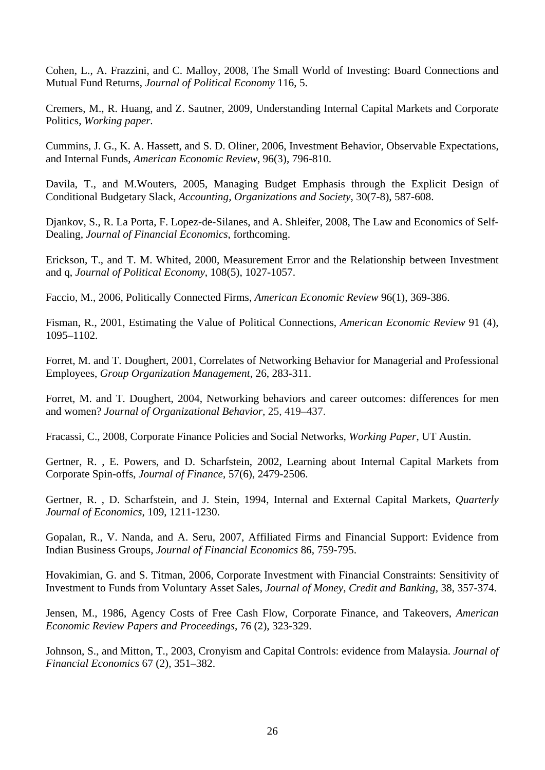Cohen, L., A. Frazzini, and C. Malloy, 2008, The Small World of Investing: Board Connections and Mutual Fund Returns, *Journal of Political Economy* 116, 5.

Cremers, M., R. Huang, and Z. Sautner, 2009, Understanding Internal Capital Markets and Corporate Politics, *Working paper.* 

Cummins, J. G., K. A. Hassett, and S. D. Oliner, 2006, Investment Behavior, Observable Expectations, and Internal Funds, *American Economic Review*, 96(3), 796-810.

Davila, T., and M.Wouters, 2005, Managing Budget Emphasis through the Explicit Design of Conditional Budgetary Slack, *Accounting, Organizations and Society*, 30(7-8), 587-608.

Djankov, S., R. La Porta, F. Lopez-de-Silanes, and A. Shleifer, 2008, The Law and Economics of Self-Dealing, *Journal of Financial Economics*, forthcoming.

Erickson, T., and T. M. Whited, 2000, Measurement Error and the Relationship between Investment and q, *Journal of Political Economy*, 108(5), 1027-1057.

Faccio, M., 2006, Politically Connected Firms, *American Economic Review* 96(1), 369-386.

Fisman, R., 2001, Estimating the Value of Political Connections, *American Economic Review* 91 (4), 1095–1102.

Forret, M. and T. Doughert, 2001, Correlates of Networking Behavior for Managerial and Professional Employees, *Group Organization Management,* 26, 283-311.

Forret, M. and T. Doughert, 2004, Networking behaviors and career outcomes: differences for men and women? *Journal of Organizational Behavior,* 25, 419–437.

Fracassi, C., 2008, Corporate Finance Policies and Social Networks, *Working Paper*, UT Austin.

Gertner, R. , E. Powers, and D. Scharfstein, 2002, Learning about Internal Capital Markets from Corporate Spin-offs, *Journal of Finance*, 57(6), 2479-2506.

Gertner, R. , D. Scharfstein, and J. Stein, 1994, Internal and External Capital Markets, *Quarterly Journal of Economics*, 109, 1211-1230.

Gopalan, R., V. Nanda, and A. Seru, 2007, Affiliated Firms and Financial Support: Evidence from Indian Business Groups, *Journal of Financial Economics* 86, 759-795.

Hovakimian, G. and S. Titman, 2006, Corporate Investment with Financial Constraints: Sensitivity of Investment to Funds from Voluntary Asset Sales, *Journal of Money, Credit and Banking,* 38, 357-374.

Jensen, M., 1986, Agency Costs of Free Cash Flow, Corporate Finance, and Takeovers, *American Economic Review Papers and Proceedings*, 76 (2), 323-329.

Johnson, S., and Mitton, T., 2003, Cronyism and Capital Controls: evidence from Malaysia. *Journal of Financial Economics* 67 (2), 351–382.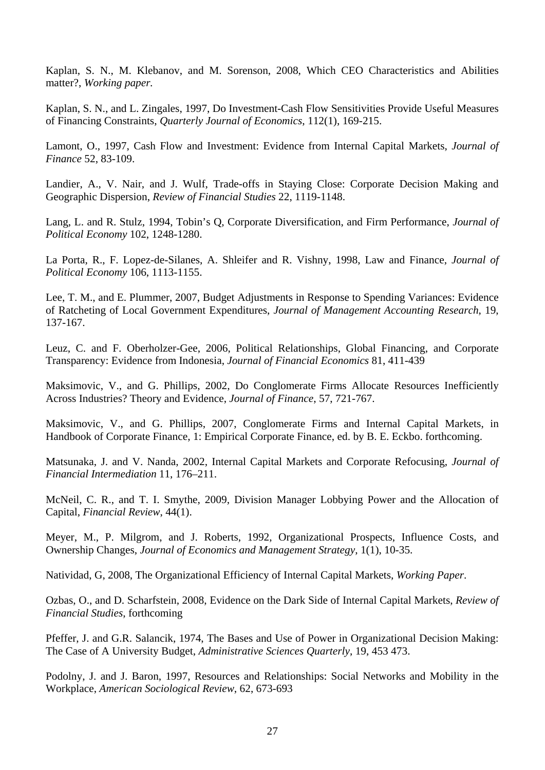Kaplan, S. N., M. Klebanov, and M. Sorenson, 2008, Which CEO Characteristics and Abilities matter?, *Working paper.* 

Kaplan, S. N., and L. Zingales, 1997, Do Investment-Cash Flow Sensitivities Provide Useful Measures of Financing Constraints, *Quarterly Journal of Economics*, 112(1), 169-215.

Lamont, O., 1997, Cash Flow and Investment: Evidence from Internal Capital Markets, *Journal of Finance* 52, 83-109.

Landier, A., V. Nair, and J. Wulf, Trade-offs in Staying Close: Corporate Decision Making and Geographic Dispersion, *Review of Financial Studies* 22, 1119-1148.

Lang, L. and R. Stulz, 1994, Tobin's Q, Corporate Diversification, and Firm Performance, *Journal of Political Economy* 102, 1248-1280.

La Porta, R., F. Lopez-de-Silanes, A. Shleifer and R. Vishny, 1998, Law and Finance, *Journal of Political Economy* 106, 1113-1155.

Lee, T. M., and E. Plummer, 2007, Budget Adjustments in Response to Spending Variances: Evidence of Ratcheting of Local Government Expenditures, *Journal of Management Accounting Research*, 19, 137-167.

Leuz, C. and F. Oberholzer-Gee, 2006, Political Relationships, Global Financing, and Corporate Transparency: Evidence from Indonesia, *Journal of Financial Economics* 81, 411-439

Maksimovic, V., and G. Phillips, 2002, Do Conglomerate Firms Allocate Resources Inefficiently Across Industries? Theory and Evidence, *Journal of Finance*, 57, 721-767.

Maksimovic, V., and G. Phillips, 2007, Conglomerate Firms and Internal Capital Markets, in Handbook of Corporate Finance, 1: Empirical Corporate Finance, ed. by B. E. Eckbo. forthcoming.

Matsunaka, J. and V. Nanda, 2002, Internal Capital Markets and Corporate Refocusing, *Journal of Financial Intermediation* 11, 176–211.

McNeil, C. R., and T. I. Smythe, 2009, Division Manager Lobbying Power and the Allocation of Capital, *Financial Review*, 44(1).

Meyer, M., P. Milgrom, and J. Roberts, 1992, Organizational Prospects, Influence Costs, and Ownership Changes, *Journal of Economics and Management Strategy*, 1(1), 10-35.

Natividad, G, 2008, The Organizational Efficiency of Internal Capital Markets, *Working Paper*.

Ozbas, O., and D. Scharfstein, 2008, Evidence on the Dark Side of Internal Capital Markets, *Review of Financial Studies*, forthcoming

Pfeffer, J. and G.R. Salancik, 1974, The Bases and Use of Power in Organizational Decision Making: The Case of A University Budget, *Administrative Sciences Quarterly*, 19, 453 473.

Podolny, J. and J. Baron, 1997, Resources and Relationships: Social Networks and Mobility in the Workplace, *American Sociological Review*, 62, 673-693